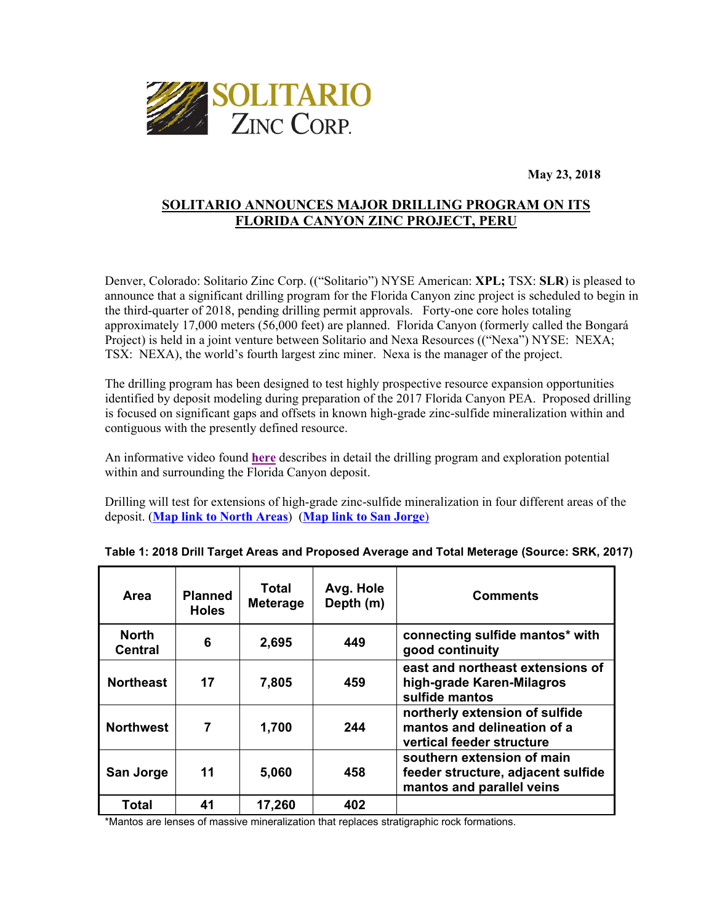

**May 23, 2018**

# **SOLITARIO ANNOUNCES MAJOR DRILLING PROGRAM ON ITS FLORIDA CANYON ZINC PROJECT, PERU**

Denver, Colorado: Solitario Zinc Corp. (("Solitario") NYSE American: **XPL;** TSX: **SLR**) is pleased to announce that a significant drilling program for the Florida Canyon zinc project is scheduled to begin in the third-quarter of 2018, pending drilling permit approvals. Forty-one core holes totaling approximately 17,000 meters (56,000 feet) are planned. Florida Canyon (formerly called the Bongará Project) is held in a joint venture between Solitario and Nexa Resources (("Nexa") NYSE: NEXA; TSX: NEXA), the world's fourth largest zinc miner. Nexa is the manager of the project.

The drilling program has been designed to test highly prospective resource expansion opportunities identified by deposit modeling during preparation of the 2017 Florida Canyon PEA. Proposed drilling is focused on significant gaps and offsets in known high-grade zinc-sulfide mineralization within and contiguous with the presently defined resource.

An informative video found **[here](https://fast.wistia.net/embed/iframe/s29igig12i)** describes in detail the drilling program and exploration potential within and surrounding the Florida Canyon deposit.

Drilling will test for extensions of high-grade zinc-sulfide mineralization in four different areas of the deposit. (**[Map link to North Areas](http://solitarioxr.com/downloads/NWareaFC.jpg)**) (**[Map link to San Jorge](http://solitarioxr.com/downloads/SanJorgeDueN.jpg)**)

| Area                           | <b>Planned</b><br><b>Holes</b> | Total<br><b>Meterage</b> | Avg. Hole<br>Depth (m) | <b>Comments</b>                                                                               |
|--------------------------------|--------------------------------|--------------------------|------------------------|-----------------------------------------------------------------------------------------------|
| <b>North</b><br><b>Central</b> | 6                              | 2,695                    | 449                    | connecting sulfide mantos* with<br>good continuity                                            |
| <b>Northeast</b>               | 17                             | 7,805                    | 459                    | east and northeast extensions of<br>high-grade Karen-Milagros<br>sulfide mantos               |
| <b>Northwest</b>               | 7                              | 1,700                    | 244                    | northerly extension of sulfide<br>mantos and delineation of a<br>vertical feeder structure    |
| San Jorge                      | 11                             | 5,060                    | 458                    | southern extension of main<br>feeder structure, adjacent sulfide<br>mantos and parallel veins |
| <b>Total</b>                   | 41                             | 17,260                   | 402                    |                                                                                               |

| Table 1: 2018 Drill Target Areas and Proposed Average and Total Meterage (Source: SRK, 2017) |  |  |
|----------------------------------------------------------------------------------------------|--|--|

\*Mantos are lenses of massive mineralization that replaces stratigraphic rock formations.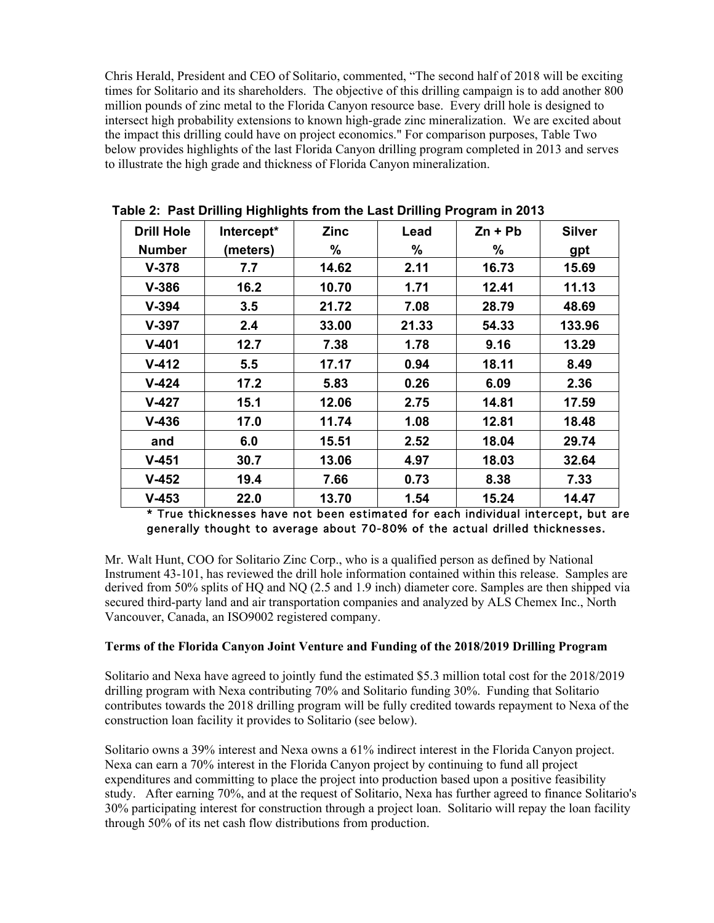Chris Herald, President and CEO of Solitario, commented, "The second half of 2018 will be exciting times for Solitario and its shareholders. The objective of this drilling campaign is to add another 800 million pounds of zinc metal to the Florida Canyon resource base. Every drill hole is designed to intersect high probability extensions to known high-grade zinc mineralization. We are excited about the impact this drilling could have on project economics." For comparison purposes, Table Two below provides highlights of the last Florida Canyon drilling program completed in 2013 and serves to illustrate the high grade and thickness of Florida Canyon mineralization.

| <b>Drill Hole</b> | Intercept* | <b>Zinc</b> | Lead  | $Zn + Pb$ | <b>Silver</b> |
|-------------------|------------|-------------|-------|-----------|---------------|
| <b>Number</b>     | (meters)   | $\%$        | $\%$  | %         | gpt           |
| $V-378$           | 7.7        | 14.62       | 2.11  | 16.73     | 15.69         |
| $V-386$           | 16.2       | 10.70       | 1.71  | 12.41     | 11.13         |
| $V-394$           | 3.5        | 21.72       | 7.08  | 28.79     | 48.69         |
| $V-397$           | 2.4        | 33.00       | 21.33 | 54.33     | 133.96        |
| $V-401$           | 12.7       | 7.38        | 1.78  | 9.16      | 13.29         |
| $V-412$           | 5.5        | 17.17       | 0.94  | 18.11     | 8.49          |
| $V-424$           | 17.2       | 5.83        | 0.26  | 6.09      | 2.36          |
| $V-427$           | 15.1       | 12.06       | 2.75  | 14.81     | 17.59         |
| $V-436$           | 17.0       | 11.74       | 1.08  | 12.81     | 18.48         |
| and               | 6.0        | 15.51       | 2.52  | 18.04     | 29.74         |
| $V-451$           | 30.7       | 13.06       | 4.97  | 18.03     | 32.64         |
| $V-452$           | 19.4       | 7.66        | 0.73  | 8.38      | 7.33          |
| $V-453$           | 22.0       | 13.70       | 1.54  | 15.24     | 14.47         |

 **Table 2: Past Drilling Highlights from the Last Drilling Program in 2013**

\* True thicknesses have not been estimated for each individual intercept, but are generally thought to average about 70-80% of the actual drilled thicknesses.

Mr. Walt Hunt, COO for Solitario Zinc Corp., who is a qualified person as defined by National Instrument 43-101, has reviewed the drill hole information contained within this release. Samples are derived from 50% splits of HQ and NQ (2.5 and 1.9 inch) diameter core. Samples are then shipped via secured third-party land and air transportation companies and analyzed by ALS Chemex Inc., North Vancouver, Canada, an ISO9002 registered company.

## **Terms of the Florida Canyon Joint Venture and Funding of the 2018/2019 Drilling Program**

Solitario and Nexa have agreed to jointly fund the estimated \$5.3 million total cost for the 2018/2019 drilling program with Nexa contributing 70% and Solitario funding 30%. Funding that Solitario contributes towards the 2018 drilling program will be fully credited towards repayment to Nexa of the construction loan facility it provides to Solitario (see below).

Solitario owns a 39% interest and Nexa owns a 61% indirect interest in the Florida Canyon project. Nexa can earn a 70% interest in the Florida Canyon project by continuing to fund all project expenditures and committing to place the project into production based upon a positive feasibility study. After earning 70%, and at the request of Solitario, Nexa has further agreed to finance Solitario's 30% participating interest for construction through a project loan. Solitario will repay the loan facility through 50% of its net cash flow distributions from production.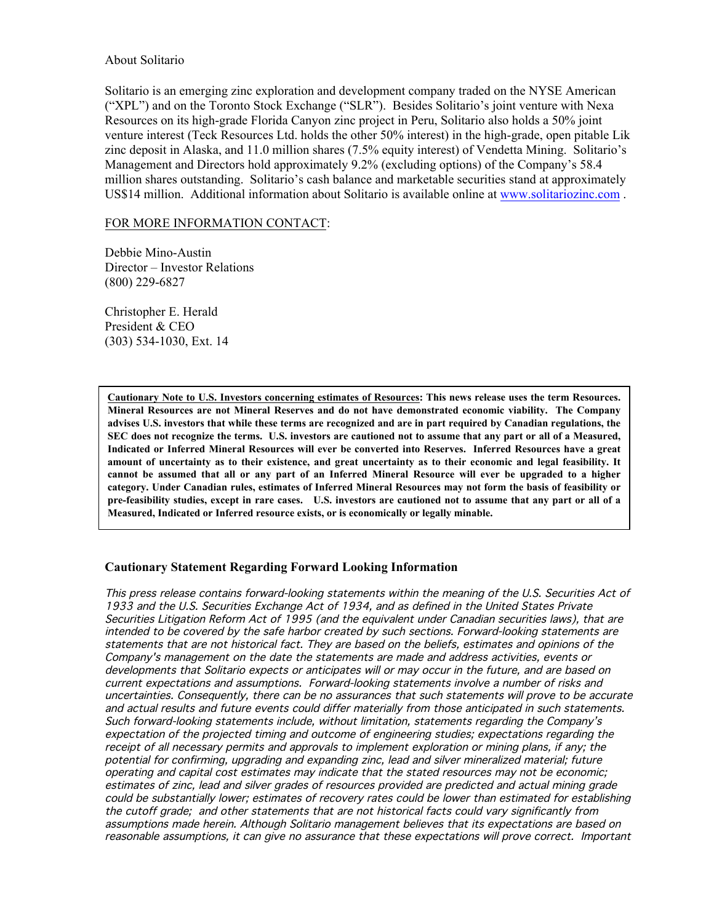#### About Solitario

Solitario is an emerging zinc exploration and development company traded on the NYSE American ("XPL") and on the Toronto Stock Exchange ("SLR"). Besides Solitario's joint venture with Nexa Resources on its high-grade Florida Canyon zinc project in Peru, Solitario also holds a 50% joint venture interest (Teck Resources Ltd. holds the other 50% interest) in the high-grade, open pitable Lik zinc deposit in Alaska, and 11.0 million shares (7.5% equity interest) of Vendetta Mining. Solitario's Management and Directors hold approximately 9.2% (excluding options) of the Company's 58.4 million shares outstanding. Solitario's cash balance and marketable securities stand at approximately US\$14 million. Additional information about Solitario is available online at www.solitariozinc.com .

### FOR MORE INFORMATION CONTACT:

Debbie Mino-Austin Director – Investor Relations (800) 229-6827

Christopher E. Herald President & CEO (303) 534-1030, Ext. 14

**Cautionary Note to U.S. Investors concerning estimates of Resources: This news release uses the term Resources. Mineral Resources are not Mineral Reserves and do not have demonstrated economic viability. The Company advises U.S. investors that while these terms are recognized and are in part required by Canadian regulations, the SEC does not recognize the terms. U.S. investors are cautioned not to assume that any part or all of a Measured, Indicated or Inferred Mineral Resources will ever be converted into Reserves. Inferred Resources have a great amount of uncertainty as to their existence, and great uncertainty as to their economic and legal feasibility. It cannot be assumed that all or any part of an Inferred Mineral Resource will ever be upgraded to a higher category. Under Canadian rules, estimates of Inferred Mineral Resources may not form the basis of feasibility or pre-feasibility studies, except in rare cases. U.S. investors are cautioned not to assume that any part or all of a Measured, Indicated or Inferred resource exists, or is economically or legally minable.**

## **Cautionary Statement Regarding Forward Looking Information**

This press release contains forward-looking statements within the meaning of the U.S. Securities Act of 1933 and the U.S. Securities Exchange Act of 1934, and as defined in the United States Private Securities Litigation Reform Act of 1995 (and the equivalent under Canadian securities laws), that are intended to be covered by the safe harbor created by such sections. Forward-looking statements are statements that are not historical fact. They are based on the beliefs, estimates and opinions of the Company's management on the date the statements are made and address activities, events or developments that Solitario expects or anticipates will or may occur in the future, and are based on current expectations and assumptions. Forward-looking statements involve a number of risks and uncertainties. Consequently, there can be no assurances that such statements will prove to be accurate and actual results and future events could differ materially from those anticipated in such statements. Such forward-looking statements include, without limitation, statements regarding the Company's expectation of the projected timing and outcome of engineering studies; expectations regarding the receipt of all necessary permits and approvals to implement exploration or mining plans, if any; the potential for confirming, upgrading and expanding zinc, lead and silver mineralized material; future operating and capital cost estimates may indicate that the stated resources may not be economic; estimates of zinc, lead and silver grades of resources provided are predicted and actual mining grade could be substantially lower; estimates of recovery rates could be lower than estimated for establishing the cutoff grade; and other statements that are not historical facts could vary significantly from assumptions made herein. Although Solitario management believes that its expectations are based on reasonable assumptions, it can give no assurance that these expectations will prove correct. Important